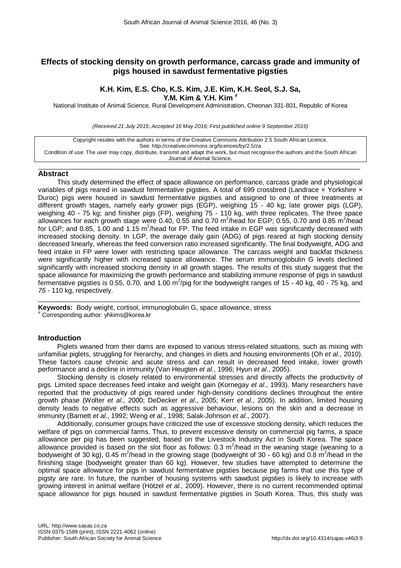# **Effects of stocking density on growth performance, carcass grade and immunity of pigs housed in sawdust fermentative pigsties**

# **K.H. Kim, E.S. Cho, K.S. Kim, J.E. Kim, K.H. Seol, S.J. Sa, Y.M. Kim & Y.H. Kim #**

National Institute of Animal Science, Rural Development Administration, Cheonan 331-801, Republic of Korea

*(Received 21 July 2015; Accepted 16 May 2016; First published online 9 September 2016)*

Copyright resides with the authors in terms of the Creative Commons Attribution 2.5 South African Licence. See: http://creativecommons.org/licenses/by/2.5/za Condition of use: The user may copy, distribute, transmit and adapt the work, but must recognise the authors and the South African Journal of Animal Science.

\_\_\_\_\_\_\_\_\_\_\_\_\_\_\_\_\_\_\_\_\_\_\_\_\_\_\_\_\_\_\_\_\_\_\_\_\_\_\_\_\_\_\_\_\_\_\_\_\_\_\_\_\_\_\_\_\_\_\_\_\_\_\_\_\_\_\_\_\_\_\_\_\_\_\_\_\_\_\_\_\_\_\_\_\_\_

# **Abstract**

This study determined the effect of space allowance on performance, carcass grade and physiological variables of pigs reared in sawdust fermentative pigsties. A total of 699 crossbred (Landrace x Yorkshire x Duroc) pigs were housed in sawdust fermentative pigsties and assigned to one of three treatments at different growth stages, namely early grower pigs (EGP), weighing 15 - 40 kg; late grower pigs (LGP), weighing 40 - 75 kg; and finisher pigs (FP), weighing 75 - 110 kg, with three replicates. The three space allowances for each growth stage were 0.40, 0.55 and 0.70  $m^2$ /head for EGP; 0.55, 0.70 and 0.85  $m^2$ /head for LGP; and 0.85, 1.00 and 1.15  $m^2/h$ ead for FP. The feed intake in EGP was significantly decreased with increased stocking density. In LGP, the average daily gain (ADG) of pigs reared at high stocking density decreased linearly, whereas the feed conversion ratio increased significantly. The final bodyweight, ADG and feed intake in FP were lower with restricting space allowance. The carcass weight and backfat thickness were significantly higher with increased space allowance. The serum immunoglobulin G levels declined significantly with increased stocking density in all growth stages. The results of this study suggest that the space allowance for maximizing the growth performance and stabilizing immune response of pigs in sawdust fermentative pigsties is 0.55, 0.70, and 1.00 m<sup>2</sup>/pig for the bodyweight ranges of 15 - 40 kg, 40 - 75 kg, and *75 -* 110 kg, respectively.

**Keywords:** Body weight, cortisol, immunoglobulin G, space allowance, stress # Corresponding author: yhkims@korea.kr

## **Introduction**

Piglets weaned from their dams are exposed to various stress-related situations, such as mixing with unfamiliar piglets, struggling for hierarchy, and changes in diets and housing environments (Oh *et al*., 2010). These factors cause chronic and acute stress and can result in decreased feed intake, lower growth performance and a decline in immunity (Van Heugten *et al*., 1996; Hyun *et al*., 2005).

 $\_$  , and the set of the set of the set of the set of the set of the set of the set of the set of the set of the set of the set of the set of the set of the set of the set of the set of the set of the set of the set of th

Stocking density is closely related to environmental stresses and directly affects the productivity of pigs. Limited space decreases feed intake and weight gain (Kornegay *et al*., 1993). Many researchers have reported that the productivity of pigs reared under high-density conditions declines throughout the entire growth phase (Wolter *et al*., 2000; DeDecker *et al*., 2005; Kerr *et al*., 2005). In addition, limited housing density leads to negative effects such as aggressive behaviour, lesions on the skin and a decrease in immunity (Barnett *et al*., 1992; Weng *et al*., 1998; Salak-Johnson *et al*., 2007).

Additionally, consumer groups have criticized the use of excessive stocking density, which reduces the welfare of pigs on commercial farms. Thus, to prevent excessive density on commercial pig farms, a space allowance per pig has been suggested, based on the Livestock Industry Act in South Korea. The space allowance provided is based on the slot floor as follows:  $0.3 \text{ m}^2$ /head in the weaning stage (weaning to a bodyweight of 30 kg), 0.45 m<sup>2</sup>/head in the growing stage (bodyweight of 30 - 60 kg) and 0.8 m<sup>2</sup>/head in the finishing stage (bodyweight greater than 60 kg). However, few studies have attempted to determine the optimal space allowance for pigs in sawdust fermentative pigsties because pig farms that use this type of pigsty are rare. In future, the number of housing systems with sawdust pigsties is likely to increase with growing interest in animal welfare (Hötzel *et al.,* 2009). However, there is no current recommended optimal space allowance for pigs housed in sawdust fermentative pigsties in South Korea. Thus, this study was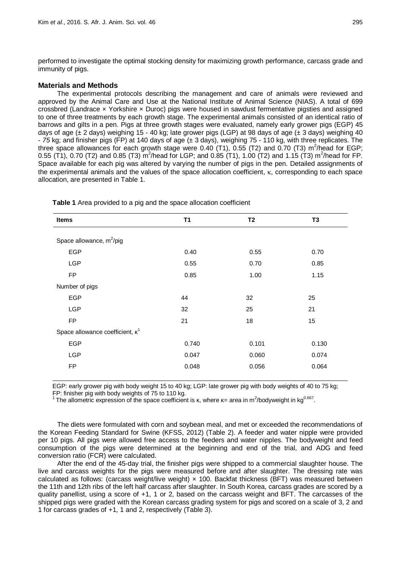performed to investigate the optimal stocking density for maximizing growth performance, carcass grade and immunity of pigs.

## **Materials and Methods**

The experimental protocols describing the management and care of animals were reviewed and approved by the Animal Care and Use at the National Institute of Animal Science (NIAS). A total of 699 crossbred (Landrace × Yorkshire × Duroc) pigs were housed in sawdust fermentative pigsties and assigned to one of three treatments by each growth stage. The experimental animals consisted of an identical ratio of barrows and gilts in a pen. Pigs at three growth stages were evaluated, namely early grower pigs (EGP) 45 days of age ( $\pm$  2 days) weighing 15 - 40 kg; late grower pigs (LGP) at 98 days of age ( $\pm$  3 days) weighing 40 - *75* kg; and finisher pigs (FP) at 140 days of age (± 3 days), weighing 75 - 110 kg, with three replicates. The three space allowances for each growth stage were 0.40 (T1), 0.55 (T2) and 0.70 (T3)  $m^2/h$ ead for EGP; 0.55 (T1), 0.70 (T2) and 0.85 (T3)  $m^2$ /head for LGP; and 0.85 (T1), 1.00 (T2) and 1.15 (T3)  $m^2$ /head for FP. Space available for each pig was altered by varying the number of pigs in the pen. Detailed assignments of the experimental animals and the values of the space allocation coefficient, κ, corresponding to each space allocation, are presented in Table 1.

| <b>Items</b>                            | T1    | T <sub>2</sub> | T <sub>3</sub> |
|-----------------------------------------|-------|----------------|----------------|
| Space allowance, m <sup>2</sup> /pig    |       |                |                |
|                                         |       |                |                |
| <b>EGP</b>                              | 0.40  | 0.55           | 0.70           |
| <b>LGP</b>                              | 0.55  | 0.70           | 0.85           |
| <b>FP</b>                               | 0.85  | 1.00           | 1.15           |
| Number of pigs                          |       |                |                |
| <b>EGP</b>                              | 44    | 32             | 25             |
| <b>LGP</b>                              | 32    | 25             | 21             |
| <b>FP</b>                               | 21    | 18             | 15             |
| Space allowance coefficient, $\kappa^1$ |       |                |                |
| <b>EGP</b>                              | 0.740 | 0.101          | 0.130          |
| <b>LGP</b>                              | 0.047 | 0.060          | 0.074          |
| <b>FP</b>                               | 0.048 | 0.056          | 0.064          |

**Table 1** Area provided to a pig and the space allocation coefficient

EGP: early grower pig with body weight 15 to 40 kg; LGP: late grower pig with body weights of 40 to 75 kg;

FP: finisher pig with body weights of 75 to 110 kg.<br><sup>1</sup> The allometric expression of the space coefficient is κ, where κ= area in m<sup>2</sup>/bodyweight in kg<sup>0.667</sup>.

The diets were formulated with corn and soybean meal, and met or exceeded the recommendations of the Korean Feeding Standard for Swine (KFSS, 2012) (Table 2). A feeder and water nipple were provided per 10 pigs. All pigs were allowed free access to the feeders and water nipples. The bodyweight and feed consumption of the pigs were determined at the beginning and end of the trial, and ADG and feed conversion ratio (FCR) were calculated.

After the end of the 45-day trial, the finisher pigs were shipped to a commercial slaughter house. The live and carcass weights for the pigs were measured before and after slaughter. The dressing rate was calculated as follows: (carcass weight/live weight)  $\times$  100. Backfat thickness (BFT) was measured between the 11th and 12th ribs of the left half carcass after slaughter. In South Korea, carcass grades are scored by a quality panellist, using a score of +1, 1 or 2, based on the carcass weight and BFT. The carcasses of the shipped pigs were graded with the Korean carcass grading system for pigs and scored on a scale of 3, 2 and 1 for carcass grades of +1, 1 and 2, respectively (Table 3).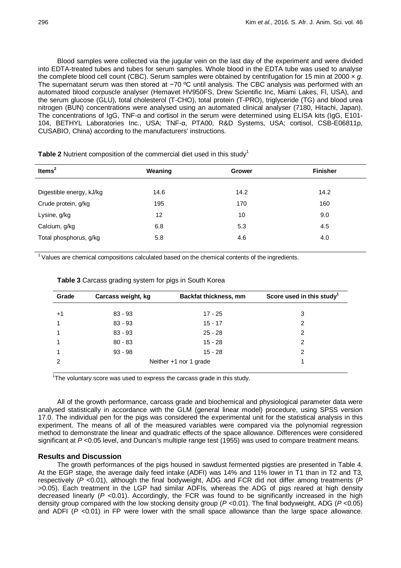Blood samples were collected via the jugular vein on the last day of the experiment and were divided into EDTA-treated tubes and tubes for serum samples. Whole blood in the EDTA tube was used to analyse the complete blood cell count (CBC). Serum samples were obtained by centrifugation for 15 min at 2000 × *g*. The supernatant serum was then stored at −70 °C until analysis. The CBC analysis was performed with an automated blood corpuscle analyser (Hemavet HV950FS, Drew Scientific Inc, Miami Lakes, Fl, USA), and the serum glucose (GLU), total cholesterol (T-CHO), total protein (T-PRO), triglyceride (TG) and blood urea nitrogen (BUN) concentrations were analysed using an automated clinical analyser (7180, Hitachi, Japan). The concentrations of IgG, TNF-α and cortisol in the serum were determined using ELISA kits (IgG, E101- 104, BETHYL Laboratories Inc., USA; TNF-α, PTA00, R&D Systems, USA; cortisol, CSB-E06811p, CUSABIO, China) according to the manufacturers' instructions.

| Items $2$                | Weaning           | <b>Grower</b> | <b>Finisher</b> |
|--------------------------|-------------------|---------------|-----------------|
|                          |                   |               |                 |
| Digestible energy, kJ/kg | 14.6              | 14.2          | 14.2            |
| Crude protein, g/kg      | 195               | 170           | 160             |
| Lysine, g/kg             | $12 \overline{ }$ | 10            | 9.0             |
| Calcium, g/kg            | 6.8               | 5.3           | 4.5             |
| Total phosphorus, g/kg   | 5.8               | 4.6           | 4.0             |
|                          |                   |               |                 |

**Table 2** Nutrient composition of the commercial diet used in this study<sup>1</sup>

1 Values are chemical compositions calculated based on the chemical contents of the ingredients.

| Grade | Carcass weight, kg | <b>Backfat thickness, mm</b> | Score used in this study <sup>1</sup> |
|-------|--------------------|------------------------------|---------------------------------------|
| $+1$  | $83 - 93$          | 17 - 25                      | 3                                     |
|       | $83 - 93$          | $15 - 17$                    | 2                                     |
|       | $83 - 93$          | $25 - 28$                    | 2                                     |
|       | $80 - 83$          | $15 - 28$                    | 2                                     |
|       | $93 - 98$          | $15 - 28$                    | 2                                     |
| 2     |                    | Neither $+1$ nor 1 grade     |                                       |

| Table 3 Carcass grading system for pigs in South Korea |  |  |  |  |
|--------------------------------------------------------|--|--|--|--|
|--------------------------------------------------------|--|--|--|--|

<sup>1</sup>The voluntary score was used to express the carcass grade in this study.

All of the growth performance, carcass grade and biochemical and physiological parameter data were analysed statistically in accordance with the GLM (general linear model) procedure, using SPSS version 17.0. The individual pen for the pigs was considered the experimental unit for the statistical analysis in this experiment. The means of all of the measured variables were compared via the polynomial regression method to demonstrate the linear and quadratic effects of the space allowance. Differences were considered significant at  $P < 0.05$  level, and Duncan's multiple range test (1955) was used to compare treatment means.

# **Results and Discussion**

The growth performances of the pigs housed in sawdust fermented pigsties are presented in Table 4. At the EGP stage, the average daily feed intake (ADFI) was 14% and 11% lower in T1 than in T2 and T3, respectively (*P* <0.01), although the final bodyweight, ADG and FCR did not differ among treatments (*P* >0.05). Each treatment in the LGP had similar ADFIs, whereas the ADG of pigs reared at high density decreased linearly (*P* <0.01). Accordingly, the FCR was found to be significantly increased in the high density group compared with the low stocking density group (*P* <0.01). The final bodyweight, ADG (*P* <0.05) and ADFI (*P* <0.01) in FP were lower with the small space allowance than the large space allowance.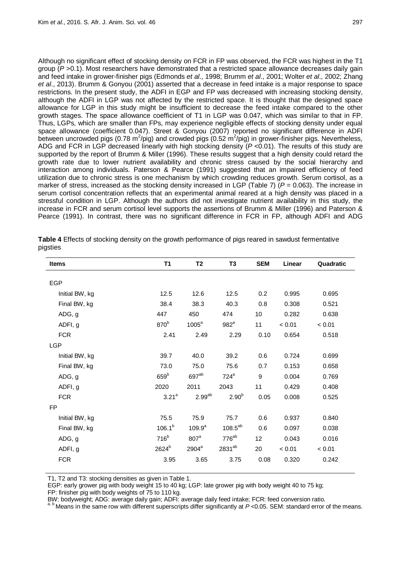Although no significant effect of stocking density on FCR in FP was observed, the FCR was highest in the T1 group ( $P > 0.1$ ). Most researchers have demonstrated that a restricted space allowance decreases daily gain and feed intake in grower-finisher pigs (Edmonds *et al*., 1998; Brumm *et al*., 2001; Wolter *et al*., 2002; Zhang *et al*., 2013). Brumm & Gonyou (2001) asserted that a decrease in feed intake is a major response to space restrictions. In the present study, the ADFI in EGP and FP was decreased with increasing stocking density, although the ADFI in LGP was not affected by the restricted space. It is thought that the designed space allowance for LGP in this study might be insufficient to decrease the feed intake compared to the other growth stages. The space allowance coefficient of T1 in LGP was 0.047, which was similar to that in FP. Thus, LGPs, which are smaller than FPs, may experience negligible effects of stocking density under equal space allowance (coefficient 0.047). Street & Gonyou (2007) reported no significant difference in ADFI between uncrowded pigs (0.78 m<sup>2</sup>/pig) and crowded pigs (0.52 m<sup>2</sup>/pig) in grower-finisher pigs. Nevertheless, ADG and FCR in LGP decreased linearly with high stocking density ( $P$  <0.01). The results of this study are supported by the report of Brumm & Miller (1996). These results suggest that a high density could retard the growth rate due to lower nutrient availability and chronic stress caused by the social hierarchy and interaction among individuals. Paterson & Pearce (1991) suggested that an impaired efficiency of feed utilization due to chronic stress is one mechanism by which crowding reduces growth. Serum cortisol, as a marker of stress, increased as the stocking density increased in LGP (Table 7) (*P* = 0.063). The increase in serum cortisol concentration reflects that an experimental animal reared at a high density was placed in a stressful condition in LGP. Although the authors did not investigate nutrient availability in this study, the increase in FCR and serum cortisol level supports the assertions of Brumm & Miller (1996) and Paterson & Pearce (1991). In contrast, there was no significant difference in FCR in FP, although ADFI and ADG

| <b>Items</b>   | <b>T1</b>         | T <sub>2</sub>    | T <sub>3</sub>     | <b>SEM</b> | Linear | Quadratic |
|----------------|-------------------|-------------------|--------------------|------------|--------|-----------|
| <b>EGP</b>     |                   |                   |                    |            |        |           |
| Initial BW, kg | 12.5              | 12.6              | 12.5               | 0.2        | 0.995  | 0.695     |
| Final BW, kg   | 38.4              | 38.3              | 40.3               | 0.8        | 0.308  | 0.521     |
| ADG, g         | 447               | 450               | 474                | 10         | 0.282  | 0.638     |
| ADFI, g        | 870 <sup>b</sup>  | $1005^a$          | $982^a$            | 11         | < 0.01 | < 0.01    |
| <b>FCR</b>     | 2.41              | 2.49              | 2.29               | 0.10       | 0.654  | 0.518     |
| <b>LGP</b>     |                   |                   |                    |            |        |           |
| Initial BW, kg | 39.7              | 40.0              | 39.2               | 0.6        | 0.724  | 0.699     |
| Final BW, kg   | 73.0              | 75.0              | 75.6               | 0.7        | 0.153  | 0.658     |
| ADG, g         | $659^b$           | 697 <sup>ab</sup> | $724^a$            | 9          | 0.004  | 0.769     |
| ADFI, g        | 2020              | 2011              | 2043               | 11         | 0.429  | 0.408     |
| <b>FCR</b>     | 3.21 <sup>a</sup> | $2.99^{ab}$       | 2.90 <sup>b</sup>  | 0.05       | 0.008  | 0.525     |
| FP             |                   |                   |                    |            |        |           |
| Initial BW, kg | 75.5              | 75.9              | 75.7               | 0.6        | 0.937  | 0.840     |
| Final BW, kg   | $106.1^{b}$       | $109.9^{\circ}$   | $108.5^{ab}$       | 0.6        | 0.097  | 0.038     |
| ADG, g         | 716 <sup>b</sup>  | 807 <sup>a</sup>  | $776^{ab}$         | 12         | 0.043  | 0.016     |
| ADFI, g        | $2624^{b}$        | $2904^a$          | 2831 <sup>ab</sup> | 20         | < 0.01 | < 0.01    |
| <b>FCR</b>     | 3.95              | 3.65              | 3.75               | 0.08       | 0.320  | 0.242     |

**Table 4** Effects of stocking density on the growth performance of pigs reared in sawdust fermentative pigsties

T1, T2 and T3: stocking densities as given in Table 1.

EGP: early grower pig with body weight 15 to 40 kg; LGP: late grower pig with body weight 40 to 75 kg;

FP: finisher pig with body weights of 75 to 110 kg.<br>BW: bodyweight; ADG: average daily gain; ADFI: average daily feed intake; FCR: feed conversion ratio.

 $a, b$  Means in the same row with different superscripts differ significantly at  $P$  <0.05. SEM: standard error of the means.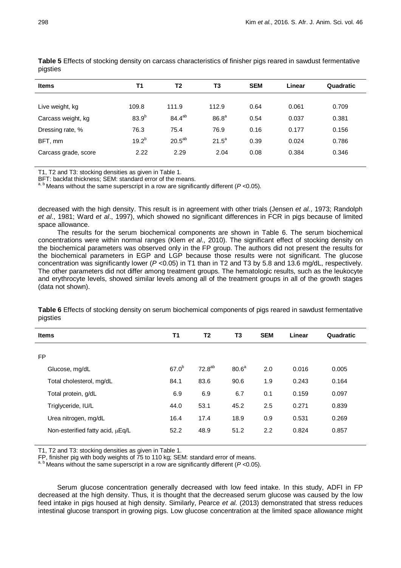| <b>Items</b>         | T1                | T <sub>2</sub>     | T3                | <b>SEM</b> | Linear | Quadratic |
|----------------------|-------------------|--------------------|-------------------|------------|--------|-----------|
|                      |                   |                    |                   |            |        |           |
| Live weight, kg      | 109.8             | 111.9              | 112.9             | 0.64       | 0.061  | 0.709     |
| Carcass weight, kg   | 83.9 <sup>b</sup> | 84.4 <sup>ab</sup> | 86.8 <sup>a</sup> | 0.54       | 0.037  | 0.381     |
| Dressing rate, %     | 76.3              | 75.4               | 76.9              | 0.16       | 0.177  | 0.156     |
| BFT, mm              | $19.2^{b}$        | $20.5^{ab}$        | $21.5^a$          | 0.39       | 0.024  | 0.786     |
| Carcass grade, score | 2.22              | 2.29               | 2.04              | 0.08       | 0.384  | 0.346     |
|                      |                   |                    |                   |            |        |           |

**Table 5** Effects of stocking density on carcass characteristics of finisher pigs reared in sawdust fermentative pigsties

T1, T2 and T3: stocking densities as given in Table 1.

BFT: backfat thickness; SEM: standard error of the means.<br><sup>a, b</sup> Means without the same superscript in a row are significantly different (*P* <0.05).

decreased with the high density. This result is in agreement with other trials (Jensen *et al.*, 1973; Randolph *et al*., 1981; Ward *et al*., 1997), which showed no significant differences in FCR in pigs because of limited space allowance.

The results for the serum biochemical components are shown in Table 6. The serum biochemical concentrations were within normal ranges (Klem *et al*., 2010). The significant effect of stocking density on the biochemical parameters was observed only in the FP group. The authors did not present the results for the biochemical parameters in EGP and LGP because those results were not significant. The glucose concentration was significantly lower (*P* <0.05) in T1 than in T2 and T3 by 5.8 and 13.6 mg/dL, respectively. The other parameters did not differ among treatment groups. The hematologic results, such as the leukocyte and erythrocyte levels, showed similar levels among all of the treatment groups in all of the growth stages (data not shown).

| <b>Items</b>                     | T1         | T <sub>2</sub> | T3                | <b>SEM</b> | Linear | Quadratic |  |
|----------------------------------|------------|----------------|-------------------|------------|--------|-----------|--|
| <b>FP</b>                        |            |                |                   |            |        |           |  |
|                                  |            |                |                   |            |        |           |  |
| Glucose, mg/dL                   | $67.0^{b}$ | $72.8^{ab}$    | 80.6 <sup>a</sup> | 2.0        | 0.016  | 0.005     |  |
| Total cholesterol, mg/dL         | 84.1       | 83.6           | 90.6              | 1.9        | 0.243  | 0.164     |  |
| Total protein, g/dL              | 6.9        | 6.9            | 6.7               | 0.1        | 0.159  | 0.097     |  |
| Triglyceride, IU/L               | 44.0       | 53.1           | 45.2              | 2.5        | 0.271  | 0.839     |  |
| Urea nitrogen, mg/dL             | 16.4       | 17.4           | 18.9              | 0.9        | 0.531  | 0.269     |  |
| Non-esterified fatty acid, µEq/L | 52.2       | 48.9           | 51.2              | 2.2        | 0.824  | 0.857     |  |
|                                  |            |                |                   |            |        |           |  |

**Table 6** Effects of stocking density on serum biochemical components of pigs reared in sawdust fermentative pigsties

T1, T2 and T3: stocking densities as given in Table 1.<br>FP, finisher pig with body weights of 75 to 110 kg; SEM: standard error of means.

a, b Means without the same superscript in a row are significantly different (*P* <0.05).

Serum glucose concentration generally decreased with low feed intake. In this study, ADFI in FP decreased at the high density. Thus, it is thought that the decreased serum glucose was caused by the low feed intake in pigs housed at high density. Similarly, Pearce *et al.* (2013) demonstrated that stress reduces intestinal glucose transport in growing pigs. Low glucose concentration at the limited space allowance might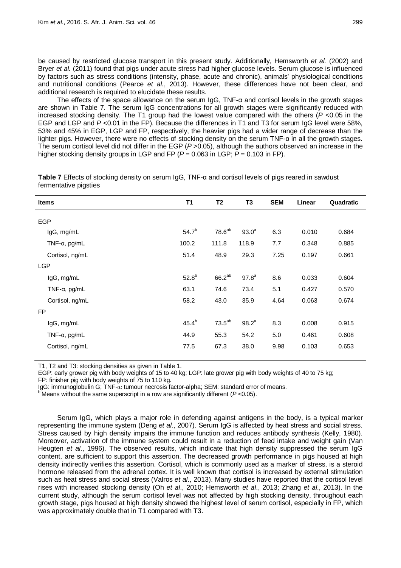be caused by restricted glucose transport in this present study. Additionally, Hemsworth *et al.* (2002) and Bryer *et al.* (2011) found that pigs under acute stress had higher glucose levels. Serum glucose is influenced by factors such as stress conditions (intensity, phase, acute and chronic), animals' physiological conditions and nutritional conditions (Pearce *et al.*, 2013). However, these differences have not been clear, and additional research is required to elucidate these results.

The effects of the space allowance on the serum IgG, TNF-α and cortisol levels in the growth stages are shown in Table 7. The serum IgG concentrations for all growth stages were significantly reduced with increased stocking density. The T1 group had the lowest value compared with the others (*P* <0.05 in the EGP and LGP and *P* <0.01 in the FP). Because the differences in T1 and T3 for serum IgG level were 58%, 53% and 45% in EGP, LGP and FP, respectively, the heavier pigs had a wider range of decrease than the lighter pigs. However, there were no effects of stocking density on the serum TNF-α in all the growth stages. The serum cortisol level did not differ in the EGP (*P* > 0.05), although the authors observed an increase in the higher stocking density groups in LGP and FP ( $P = 0.063$  in LGP;  $\overline{P} = 0.103$  in FP).

| <b>Items</b>          | <b>T1</b>  | T <sub>2</sub>     | T <sub>3</sub>    | <b>SEM</b> | Linear | Quadratic |
|-----------------------|------------|--------------------|-------------------|------------|--------|-----------|
| <b>EGP</b>            |            |                    |                   |            |        |           |
| IgG, mg/mL            | $54.7^{b}$ | 78.6 <sup>ab</sup> | $93.0^a$          | 6.3        | 0.010  | 0.684     |
| TNF- $\alpha$ , pg/mL | 100.2      | 111.8              | 118.9             | 7.7        | 0.348  | 0.885     |
| Cortisol, ng/mL       | 51.4       | 48.9               | 29.3              | 7.25       | 0.197  | 0.661     |
| <b>LGP</b>            |            |                    |                   |            |        |           |
| IgG, mg/mL            | $52.8^{b}$ | $66.2^{ab}$        | 97.8 <sup>a</sup> | 8.6        | 0.033  | 0.604     |
| TNF- $\alpha$ , pg/mL | 63.1       | 74.6               | 73.4              | 5.1        | 0.427  | 0.570     |
| Cortisol, ng/mL       | 58.2       | 43.0               | 35.9              | 4.64       | 0.063  | 0.674     |
| <b>FP</b>             |            |                    |                   |            |        |           |
| IgG, mg/mL            | $45.4^{b}$ | $73.5^{ab}$        | $98.2^{a}$        | 8.3        | 0.008  | 0.915     |
| TNF- $\alpha$ , pg/mL | 44.9       | 55.3               | 54.2              | 5.0        | 0.461  | 0.608     |
| Cortisol, ng/mL       | 77.5       | 67.3               | 38.0              | 9.98       | 0.103  | 0.653     |
|                       |            |                    |                   |            |        |           |

**Table 7** Effects of stocking density on serum IgG, TNF-α and cortisol levels of pigs reared in sawdust fermentative pigsties

T1, T2 and T3: stocking densities as given in Table 1.

EGP: early grower pig with body weights of 15 to 40 kg; LGP: late grower pig with body weights of 40 to 75 kg;

FP: finisher pig with body weights of 75 to 110 kg.<br>IgG: immunoglobulin G; TNF- $\alpha$ : tumour necrosis factor-alpha; SEM: standard error of means.

Igg: immunoglobuling, The actor-alpha; Seminonecropis factor-alpha; Seminour of Means without the same superscript in a row are significantly different (*P* <0.05).

Serum IgG, which plays a major role in defending against antigens in the body, is a typical marker representing the immune system (Deng *et al*., 2007). Serum IgG is affected by heat stress and social stress. Stress caused by high density impairs the immune function and reduces antibody synthesis (Kelly, 1980). Moreover, activation of the immune system could result in a reduction of feed intake and weight gain (Van Heugten *et al*., 1996). The observed results, which indicate that high density suppressed the serum IgG content, are sufficient to support this assertion. The decreased growth performance in pigs housed at high density indirectly verifies this assertion. Cortisol, which is commonly used as a marker of stress, is a steroid hormone released from the adrenal cortex. It is well known that cortisol is increased by external stimulation such as heat stress and social stress (Valros *et al*., 2013). Many studies have reported that the cortisol level rises with increased stocking density (Oh *et al*., 2010; Hemsworth *et al*., 2013; Zhang *et al*., 2013). In the current study, although the serum cortisol level was not affected by high stocking density, throughout each growth stage, pigs housed at high density showed the highest level of serum cortisol, especially in FP, which was approximately double that in T1 compared with T3.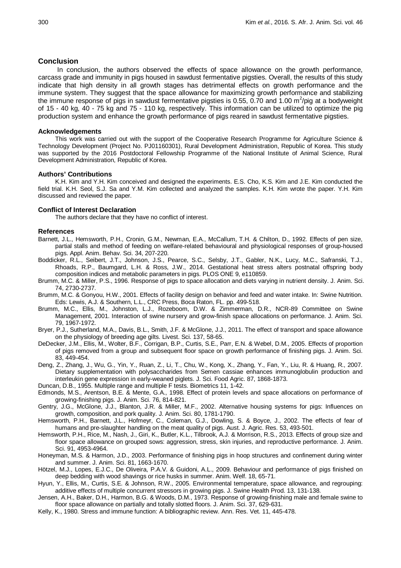### **Conclusion**

In conclusion, the authors observed the effects of space allowance on the growth performance, carcass grade and immunity in pigs housed in sawdust fermentative pigsties. Overall, the results of this study indicate that high density in all growth stages has detrimental effects on growth performance and the immune system. They suggest that the space allowance for maximizing growth performance and stabilizing the immune response of pigs in sawdust fermentative pigsties is 0.55, 0.70 and 1.00 m<sup>2</sup>/pig at a bodyweight of 15 - 40 kg, 40 - 75 kg and 75 - 110 kg, respectively. This information can be utilized to optimize the pig production system and enhance the growth performance of pigs reared in sawdust fermentative pigsties.

#### **Acknowledgements**

This work was carried out with the support of the Cooperative Research Programme for Agriculture Science & Technology Development (Project No. PJ01160301), Rural Development Administration, Republic of Korea. This study was supported by the 2016 Postdoctoral Fellowship Programme of the National Institute of Animal Science, Rural Development Administration, Republic of Korea.

### **Authors' Contributions**

K.H. Kim and Y.H. Kim conceived and designed the experiments. E.S. Cho, K.S. Kim and J.E. Kim conducted the field trial. K.H. Seol, S.J. Sa and Y.M. Kim collected and analyzed the samples. K.H. Kim wrote the paper. Y.H. Kim discussed and reviewed the paper.

#### **Conflict of Interest Declaration**

The authors declare that they have no conflict of interest.

#### **References**

- Barnett, J.L., Hemsworth, P.H., Cronin, G.M., Newman, E.A., McCallum, T.H. & Chilton, D., 1992. Effects of pen size, partial stalls and method of feeding on welfare-related behavioural and physiological responses of group-housed pigs. Appl. Anim. Behav. Sci. 34, 207-220.
- Boddicker, R.L., Seibert, J.T., Johnson, J.S., Pearce, S.C., Selsby, J.T., Gabler, N.K., Lucy, M.C., Safranski, T.J., Rhoads, R.P., Baumgard, L.H. & Ross, J.W., 2014. Gestational heat stress alters postnatal offspring body composition indices and metabolic parameters in pigs. PLOS ONE 9, e110859.
- Brumm, M.C. & Miller, P.S., 1996. Response of pigs to space allocation and diets varying in nutrient density. J. Anim. Sci. 74, 2730-2737.
- Brumm, M.C. & Gonyou, H.W., 2001. Effects of facility design on behavior and feed and water intake. In: Swine Nutrition. Eds: Lewis, A.J. & Southern, L.L., CRC Press, Boca Raton, FL. pp. 499-518.
- Brumm, M.C., Ellis, M., Johnston, L.J., Rozeboom, D.W. & Zimmerman, D.R., NCR-89 Committee on Swine Management, 2001. Interaction of swine nursery and grow-finish space allocations on performance. J. Anim. Sci. 79, 1967-1972.
- Bryer, P.J., Sutherland, M.A., Davis, B.L., Smith, J.F. & McGlone, J.J., 2011. The effect of transport and space allowance on the physiology of breeding age gilts. Livest. Sci. 137, 58-65.
- DeDecker, J.M., Ellis, M., Wolter, B.F., Corrigan, B.P., Curtis, S.E., Parr, E.N. & Webel, D.M., 2005. Effects of proportion of pigs removed from a group and subsequent floor space on growth performance of finishing pigs. J. Anim. Sci. 83, 449-454.
- Deng, Z., Zhang, J., Wu, G., Yin, Y., Ruan, Z., Li, T., Chu, W., Kong, X., Zhang, Y., Fan, Y., Liu, R. & Huang, R., 2007. Dietary supplementation with polysaccharides from Semen cassiae enhances immunoglobulin production and interleukin gene expression in early-weaned piglets. J. Sci. Food Agric. 87, 1868-1873.
- Duncan, D.B., 1955. Multiple range and multiple F tests. Biometrics 11, 1-42.
- Edmonds, M.S., Arentson, B.E. & Mente, G.A., 1998. Effect of protein levels and space allocations on performance of growing-finishing pigs. J. Anim. Sci. 76, 814-821.
- Gentry, J.G., McGlone, J.J., Blanton, J.R. & Miller, M.F., 2002. Alternative housing systems for pigs: Influences on growth, composition, and pork quality. J. Anim. Sci. 80, 1781-1790.
- Hemsworth, P.H., Barnett, J.L., Hofmeyr, C., Coleman, G.J., Dowling, S. & Boyce, J., 2002. The effects of fear of humans and pre-slaughter handling on the meat quality of pigs. Aust. J. Agric. Res. 53, 493-501.
- Hemsworth, P.H., Rice, M., Nash, J., Giri, K., Butler, K.L., Tilbrook, A.J. & Morrison, R.S., 2013. Effects of group size and floor space allowance on grouped sows: aggression, stress, skin injuries, and reproductive performance. J. Anim. Sci. 91, 4953-4964.
- Honeyman, M.S. & Harmon, J.D., 2003. Performance of finishing pigs in hoop structures and confinement during winter and summer. J. Anim. Sci. 81, 1663-1670.
- Hötzel, M.J., Lopes, E.J.C., De Oliveira, P.A.V. & Guidoni, A.L., 2009. Behaviour and performance of pigs finished on deep bedding with wood shavings or rice husks in summer. Anim. Welf. 18, 65-71.
- Hyun, Y., Ellis, M., Curtis, S.E. & Johnson, R.W., 2005. Environmental temperature, space allowance, and regrouping: additive effects of multiple concurrent stressors in growing pigs. J. Swine Health Prod. 13, 131-138.
- Jensen, A.H., Baker, D.H., Harmon, B.G. & Woods, D.M., 1973. Response of growing-finishing male and female swine to floor space allowance on partially and totally slotted floors. J. Anim. Sci. 37, 629-631.
- Kelly, K., 1980. Stress and immune function: A bibliographic review. Ann. Res. Vet. 11, 445-478.